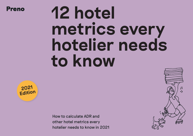

# **12 hotel metrics every hotelier needs to know**



How to calculate ADR and other hotel metrics every hotelier needs to know in 2021

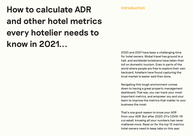# **Introduction How to calculate ADR and other hotel metrics every hotelier needs to know in 2021...**

2020 and 2021 have been a challenging time for hotel owners. Global travel has ground to a halt, and worldwide lockdowns have taken their toll on domestic tourism. Even in parts of the world where people are free to explore their own backyard, hoteliers have found capturing the local market is easier said than done.

Navigating this tough environment comes down to having a great property management dashboard. That way, you can track your most important metrics, and empower you and your team to improve the metrics that matter to your business the most.

That's one good reason to know your AOR from your ADR. But after 2020-21's COVID-19 curveball, knowing all your numbers has never mattered more. Read on for the top 12 metrics hotel owners need to keep tabs on this year.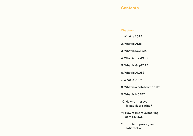### **Contents**

#### **Chapters**

- 1. What is AOR?
- 2. What is ADR?
- 3. What is RevPAR?
- 4. What is TrevPAR?
- 5. What is GopPAR?
- 6. What is ALOS?
- 7. What is DRR?
- 8. What is a hotel comp set?
- 9. What is MCPB?
- 10. How to improve Tripadvisor rating?
- 11. How to improve booking. com reviews
- 12. How to improve guest satisfaction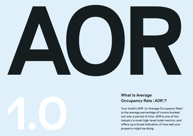



# **What is Average Occupancy Rate (AOR)?**

Your hotel's AOR (or Average Occupancy Rate) is the average percentage of rooms booked out over a period of time. AOR is one of the industry's most high-level hotel metrics, and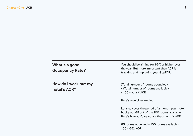| What's a good<br><b>Occupancy Rate?</b> | You should be aiming for 65% or higher over<br>the year. But more important than AOR is<br>tracking and improving your GopPAR.                   |
|-----------------------------------------|--------------------------------------------------------------------------------------------------------------------------------------------------|
| How do I work out my<br>hotel's AOR?    | (Total number of rooms occupied)<br>+ (Total number of rooms available)<br>$x$ 100 = your% AOR                                                   |
|                                         | Here's a quick example                                                                                                                           |
|                                         | Let's say over the period of a month, your hotel<br>books out 65 out of the 100 rooms available.<br>Here's how you'd calculate that month's AOR: |
|                                         | 65 rooms occupied + 100 rooms available x<br>$100 = 65\%$ AOR                                                                                    |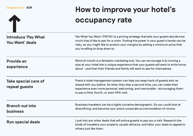

# **How to improve your hotel's occupancy rate**

| <b>Introduce 'Pay What</b><br>You Want' deals | Pay What You Want (PWYW) is a pricing strategy that lets your guests decide how<br>much they'd like to pay for a room. Putting the power in your guest's hands can be<br>risky, so you might like to protect your margins by setting a minimum price that<br>you're willing to drop down to. |
|-----------------------------------------------|----------------------------------------------------------------------------------------------------------------------------------------------------------------------------------------------------------------------------------------------------------------------------------------------|
| <b>Provide an</b><br>experience               | Word of mouth is a fantastic marketing tool. You can encourage it by turning a<br>stay at your hotel into a unique experience that your guests will want to write home<br>about - and that their friends and family will want to see for themselves.                                         |
| Take special care of<br>repeat guests         | Preno's hotel management system can help you keep track of guests who've<br>stayed with you before. So when they stay a second time, you can make their<br>experience even more personal, welcoming, and memorable - encouraging them<br>to pay a third, fourth, or even fifth visit.        |
| <b>Branch out into</b><br><b>business</b>     | Business travellers can be a highly lucrative demographic. So you could look at<br>diversifying, and become your area's corporate accommodation of choice.                                                                                                                                   |
| <b>Run special deals</b>                      | Look into any other deals that will entice guests to pay you a visit. Research the<br>kinds of travellers your property usually attracts, and tailor your deals to appeal to<br>others just like them.                                                                                       |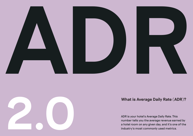



# **What is Average Daily Rate (ADR)?**

ADR is your hotel's Average Daily Rate. This number tells you the average revenue earned by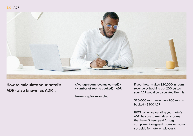#### **2.0 - ADR**



**How to calculate your hotel's ADR (also known as ADR):**

**(Average room revenue earned) ÷ (Number of rooms booked) = ADR**

**Here's a quick example…**

If your hotel makes \$20,000 in room revenue by booking out 200 suites, your ADR would be calculated like this:

\$20,000 room revenue ÷ 200 rooms booked = \$100 ADR

**NOTE:** When calculating your hotel's ADR, be sure to exclude any rooms that haven't been paid for (eg. complimentary guest rooms or rooms set aside for hotel employees).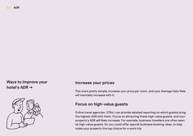# **Ways to improve your hotel's ADR →**



### **Increase your prices**

This one's pretty simple; increase your price per room, and your Average Daily Rate will inevitably increase with it.

# **Focus on high-value guests**

Online travel agencies (OTAs) can provide detailed reporting on which guests bring the highest ADR with them. Focus on attracting these high-value guests, and your property's ADR will likely increase. For example, business travellers are often seen as high-value guests. So you could offer special business booking rates, to help make your property the top choice for a work trip.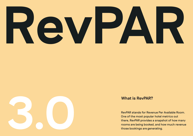



# **What is RevPAR?**

RevPAR stands for Revenue Per Available Room. One of the most popular hotel metrics out there, RevPAR provides a snapshot of how many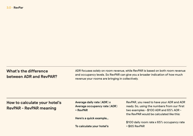| What's the difference<br>between ADR and RevPAR? | revenue your rooms are bringing in collectively. | ADR focuses solely on room revenue, while RevPAR is based on both room revenue<br>and occupancy levels. So RevPAR can give you a broader indication of how much |
|--------------------------------------------------|--------------------------------------------------|-----------------------------------------------------------------------------------------------------------------------------------------------------------------|
| How to calculate your hotel's                    | Average daily rate (ADR) x                       | RevPAR, you need to have your ADR and AOR                                                                                                                       |

# **How to calculate your hotel's RevPAR – RevPAR meaning**

**Average daily rate (ADR) x Average occupancy rate (AOR) = RevPAR**

**Here's a quick example…**

**To calculate your hotel's** 

ready. So, using the numbers from our first two examples – \$100 ADR and 65% AOR – the RevPAR would be calculated like this:

\$100 daily room rate x 65% occupancy rate = \$65 RevPAR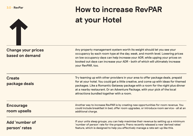

# **How to increase RevPAR at your Hotel**

| <b>Change your prices</b><br>based on demand | Any property management system worth its weight should let you see your<br>occupancy by each room type at the day, week, and month level. Lowering prices<br>on low occupancy days can help increase your AOR, while upping your prices on<br>booked out days can increase your ADR - both of which will ultimately increase<br>your RevPAR, too.                                         |
|----------------------------------------------|-------------------------------------------------------------------------------------------------------------------------------------------------------------------------------------------------------------------------------------------------------------------------------------------------------------------------------------------------------------------------------------------|
| <b>Create</b><br>package deals               | Try teaming up with other providers in your area to offer package deals, prepaid<br>for at your hotel. You could get a little creative, and come up with ideas for themed<br>packages. Like a Romantic Getaway package with a room for the night plus dinner<br>at a nearby restaurant. Or an Adventure Package, with your pick of the local<br>attractions bundled together with a room. |
| <b>Encourage</b><br>room upsells             | Another way to increase RevPAR is by creating new opportunities for room revenue. You<br>could include breakfast in bed, offer room upgrades, or introduce room service - all at an<br>additional charge.                                                                                                                                                                                 |
| Add 'number of<br>person' rates              | If your units sleep groups, you can help maximise their revenue by setting up a minimum<br>'number of person' rate for the property. Preno recently released a new 'derived rates'<br>feature, which is designed to help you effectively manage a rate set-up like this.                                                                                                                  |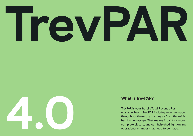



# **What is TrevPAR?**

TrevPAR is your hotel's Total Revenue Per Available Room. TrevPAR includes revenue made throughout the entire business – from the minibar, to the day-spa. That means it paints a more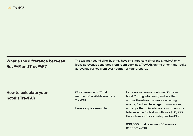# **What's the difference between RevPAR and TrevPAR?**

The two may sound alike, but they have one important difference. RevPAR only looks at revenue generated from room bookings. TrevPAR, on the other hand, looks at revenue earned from every corner of your property.

# **How to calculate your hotel's TrevPAR**

**(Total revenue) ÷ (Total number of available rooms) = TrevPAR**

**Here's a quick example…**

Let's say you own a boutique 30-room hotel. You log into Preno, and see that across the whole business – including rooms, food and beverage, commissions, and any other miscellaneous income – your total revenue for last month was \$30,000. Here's how you'd calculate your TrevPAR:

**\$30,000 total revenue ÷ 30 rooms = \$1000 TrevPAR**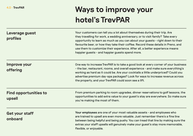# **Ways to improve your hotel's TrevPAR**

| Leverage guest<br>profiles             | Your customers can tell you a lot about themselves during their trip. Are<br>they travelling for work, a wedding anniversary, or to visit family? Take every<br>opportunity to learn as much as you can about your guests - right down to their<br>favourite beer, or how they take their coffee. Record these details in Preno, and<br>use them to customize their experience. After all, a better experience means<br>happier guests - and happier guests spend more. |
|----------------------------------------|-------------------------------------------------------------------------------------------------------------------------------------------------------------------------------------------------------------------------------------------------------------------------------------------------------------------------------------------------------------------------------------------------------------------------------------------------------------------------|
| Improve your<br>offering               | One way to increase TrevPAR is to take a good look at every corner of your business<br>- the bar, restaurant, rooms, and overall experience - and make sure everything's<br>working as hard as it could be. Are your cocktails a little underpriced? Could you<br>advertise premium day-spa packages? Look for ways to increase revenue across<br>the property, and your TrevPAR could soon see a lift.                                                                 |
| <b>Find opportunities to</b><br>upsell | From premium parking to room upgrades, dinner reservations to golf lessons, the<br>opportunities to add extra value to your guest's stay are everywhere. So make sure<br>you're making the most of them.                                                                                                                                                                                                                                                                |
| Get your staff<br>onboard              | Your employees are one of your most valuable assets - and employees who<br>are trained to upsell are even more valuable. Just remember there's a fine line<br>between being helpful and being pushy. You can tread that line by making sure the<br>extras your staff upsells will genuinely make your guest's stay more memorable,<br>flexible, or enjoyable.                                                                                                           |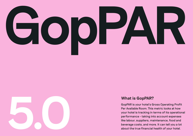



# **What is GopPAR?**

GopPAR is your hotel's Gross Operating Profit Per Available Room. This metric looks at how your hotel is tracking in terms of its operational performance – taking into account expenses like labour, suppliers, maintenance, food and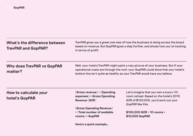| What's the difference between<br><b>TrevPAR and GopPAR?</b> | in terms of profit.                                                                                                                                                                                                                                   | TrevPAR gives you a great overview of how the business is doing across the board<br>based on revenue. But GopPAR goes a step further, and shows how you're tracking |
|-------------------------------------------------------------|-------------------------------------------------------------------------------------------------------------------------------------------------------------------------------------------------------------------------------------------------------|---------------------------------------------------------------------------------------------------------------------------------------------------------------------|
| <b>Why does TrevPAR vs GopPAR</b><br>matter?                | Well, your hotel's TrevPAR might paint a rosy picture of your business. But if your<br>operational costs are through the roof, your GopPAR could show that your hotel's<br>bottom line isn't quite as healthy as your TrevPAR would have you believe. |                                                                                                                                                                     |
|                                                             |                                                                                                                                                                                                                                                       |                                                                                                                                                                     |
| How to calculate your<br>hotel's GopPAR                     | (Gross revenue) - (Operating<br>expenses) = Gross Operating<br>Revenue (GOR)                                                                                                                                                                          | Let's imagine that you own a luxury 10-<br>room retreat. Based on the hotel's 2019<br>GOR of \$100,000, you'd work out your                                         |
|                                                             | (Gross Operating Revenue)<br>÷ (Total number of available                                                                                                                                                                                             | GopPAR like this:<br>$$100,000$ GOR ÷ 10 rooms =                                                                                                                    |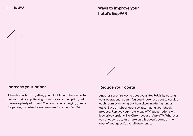**Ways to improve your hotel's GopPAR**

![](_page_17_Picture_2.jpeg)

# **Increase your prices**

A handy shortcut to getting your GopPAR numbers up is to put your prices up. Raising room prices is one option, but there are plenty of others. You could start charging guests for parking, or introduce a premium for super-fast WiFi.

# **Reduce your costs**

Another sure-fire way to boost your GopPAR is by cutting your operational costs. You could lower the cost to service each room by spacing out housekeeping during longer stays. Save on labour costs by automating your check-in process. Replace your hotel's cable TV subscriptions with less pricey options, like Chromecast or Apple TV. Whatever you choose to do, just make sure it doesn't come at the cost of your guest's overall experience.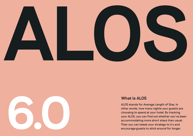![](_page_18_Picture_0.jpeg)

![](_page_18_Picture_1.jpeg)

# **What is ALOS**

ALOS stands for Average Length of Stay. In other words, how many nights your guests are choosing to spend at your hotel. By tracking your ALOS, you can find out whether you've been accommodating more short stays than usual.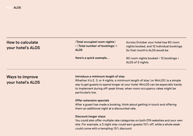| How to calculate<br>your hotel's ALOS | (Total occupied room nights)<br>÷ (Total number of bookings) =<br><b>ALOS</b> | Across October your hotel has 60 room<br>nights booked, and 12 individual bookings.<br>So that month's ALOS would be: |
|---------------------------------------|-------------------------------------------------------------------------------|-----------------------------------------------------------------------------------------------------------------------|
|                                       | Here's a quick example                                                        | 60 room nights booked + 12 bookings =<br>ALOS of 5 nights                                                             |

# **Ways to improve your hotel's ALOS**

#### **Introduce a minimum length of stay**

Whether it's 2, 3, or 4 nights, a minimum length of stay (or MinLOS) is a simple way to get guests to spend longer at your hotel. MinLOS can be especially handy to implement during off-peak times, when room occupancy rates might be particularly low.

#### **Offer extension specials**

After a guest has made a booking, think about getting in touch and offering them an additional night at a discounted rate.

#### **Discount longer stays**

You could also offer multiple rate categories on both OTA websites and your own site. For example, a 5 night stay could earn guests 10% off, while a whole week could come with a tempting 15% discount.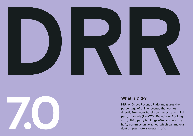![](_page_20_Picture_0.jpeg)

![](_page_20_Picture_1.jpeg)

# **What is DRR?**

DRR, or Direct Revenue Ratio, measures the percentage of online revenue that comes directly from your hotel's own website vs. third party channels (like OTAs, Expedia, or Booking. com). Third party bookings often come with a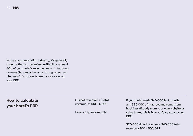In the accommodation industry, it's generally thought that to maximise profitability, at least 40% of your hotel's revenue needs to be direct revenue (ie. needs to come through your own channels). So it pays to keep a close eye on your DRR.

# **How to calculate your hotel's DRR**

**(Direct revenue) ÷ (Total revenue) x 100 = % DRR**

**Here's a quick example…**

If your hotel made \$40,000 last month, and \$20,000 of that revenue came from bookings directly from your own website or sales team, this is how you'd calculate your DRR:

\$20,000 direct revenue ÷ \$40,000 total revenue x 100 = 50% DRR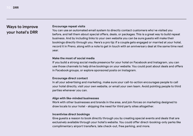# **Ways to improve your hotel's DRR**

#### **Encourage repeat visits**

You can use an automated email system to directly contact customers who've visited you before, and tell them about special offers, deals, or packages. This is a great way to build repeat business. And by including links to your own website you can be sure guests will make their bookings directly through you. Here's a pro tip: if a couple gets engaged or married at your hotel, record it in Preno, along with a note to get in touch with an anniversary deal at the same time next year.

#### **Make the most of social media**

If you build a strong social media presence for your hotel on Facebook and Instagram, you can use those channels to help drive bookings on your website. You could post about deals and offers in Facebook groups, or explore sponsored posts on Instagram.

#### **Encourage direct contact**

In all your advertising and marketing, make sure your call-to-action encourages people to call your hotel directly, visit your own website, or email your own team. Avoid pointing people to third parties whenever you can.

#### **Align with like-minded businesses**

Work with other businesses and brands in the area, and join forces on marketing designed to draw locals to your hotel – skipping the need for third party sites altogether.

#### **Incentivise direct bookings**

Give guests a reason to book directly through you by creating special events and deals that are exclusively available through your hotel's website. You could offer direct-booking-only perks like complimentary airport transfers, late check-out, free parking, and more.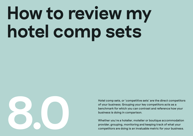# **How to review my hotel comp sets**

![](_page_23_Picture_1.jpeg)

Hotel comp sets, or 'competitive sets' are the direct competitors of your business. Grouping your key competitors acts as a benchmark for which you can contrast and reference how your business is doing in comparison.

Whether you're a hotelier, motelier or boutique accommodation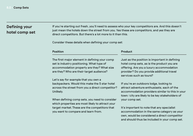# **Defining your hotel comp set**

If you're starting out fresh, you'll need to assess who your key competitors are. And this doesn't just mean the hotels down the street from you. Yes these are competitors, and yes they are direct competitors. But there's a lot more to it than this.

Consider these details when defining your comp set:

#### **Position**

The first major element in defining your comp set is industry positioning. What type of accommodation property are they? What size are they? Who are their target audience?

Let's say for example that you own a backpackers. Would this make the 5 star hotel across the street from you a direct competitor? Unlikely.

When defining comp sets, you need to consider which properties are most likely to attract your target market. These are the competitors that you want to compare and learn from.

#### **Product**

Just as the position is important in defining hotel comp sets, as is the product you are offering. Are you a luxury accommodation provider? Do you provide additional travel services such as tours?

If you're an outdoors lodge, looking to attract adventure enthusiasts, each of the accommodation providers similar to this in your town/city are likely to be key stakeholders of your comp set.

It's important to note that any specialist accommodation in the same category as your own, would be considered a direct competitor and should thus be included in your comp set.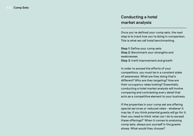# **Conducting a hotel market analysis**

Once you've defined your comp sets, the next step is to track how you're doing in comparison. This is what we call hotel benchmarking.

**Step 1:** Define your comp sets **Step 2:** Benchmark your strengths and weaknesses **Step 3:** Instil improvement and growth

In order to exceed the efforts of your competitors, you must be in a constant state of awareness. What are they doing that's different? Who are they targeting? How are their occupancy rates looking? Essentially, conducting a hotel market analysis will involve comparing and contrasting every detail that acts as a competitive element to your business.

If the properties in your comp set are offering special services or reduced rates – whatever it may be, if you think potential guests will go for it, then you need to think 'what can I do to exceed these offerings?' When it comes to analysing comp sets, always put yourself in the guests shoes. What would they choose?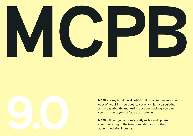![](_page_26_Picture_0.jpeg)

![](_page_26_Figure_1.jpeg)

MCPB is a key hotel metric which helps you to measure the cost of acquiring new guests. Not only this, by calculating and measuring the marketing cost per booking, you can see the results your efforts are producing.

MCPB will help you to consistently revise and update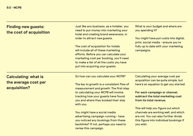| <b>Finding new guests:</b><br>the cost of acquisition | Just like any business, as a hotelier, you<br>need to put money into marketing your<br>hotel and creating brand awareness, in<br>order to attract new guests.                                                                                 | What is your budget and where are<br>you spending it?<br>You might have put costs into digital,                                                                             |
|-------------------------------------------------------|-----------------------------------------------------------------------------------------------------------------------------------------------------------------------------------------------------------------------------------------------|-----------------------------------------------------------------------------------------------------------------------------------------------------------------------------|
|                                                       | The cost of acquisition for hotels<br>will include all of these marketing<br>efforts. Before you can calculate your<br>marketing cost per booking, you'll need<br>to make a list of all the costs you have<br>put into acquiring your guests. | print, social media - ensure you're<br>fully up to date with your marketing<br>campaigns.                                                                                   |
| <b>Calculating: what is</b>                           | So how can you calculate your MCPB?                                                                                                                                                                                                           | Calculating your average cost per<br>acquisition can be quite simple, but                                                                                                   |
| the average cost per<br>acquisition?                  | The key to growth is a consistent flow of<br>measurement and growth. The first step                                                                                                                                                           | here's an equation to get you started:                                                                                                                                      |
|                                                       | to calculating your MCPB will involve<br>tracking how your guests have found<br>you and where they booked their stay<br>with you.                                                                                                             | For each campaign or channel,<br>subtract the total marketing cost<br>from its total revenue.                                                                               |
|                                                       | You might have a social media<br>advertising campaign running - have<br>you noticed any bookings from these<br>backlinks? If not, perhaps you need to<br>revise this campaign.                                                                | This will help you figure out which<br>channels are working well, and which<br>are not. You can also further divide<br>this figure into individual bookings if<br>you wish. |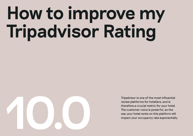# **How to improve my Tripadvisor Rating**

![](_page_28_Picture_1.jpeg)

Tripadvisor is one of the most influential review platforms for hoteliers, and is therefore a crucial metric for your hotel. The customer voice is powerful, so the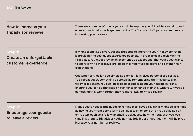# **How to increase your Tripadvisor reviews**

There are a number of things you can do to improve your Tripadvisor ranking, and ensure your hotel is portrayed well online. The first step to Tripadvisor success is increasing your reviews.

### **Step 1:**

**Create an unforgettable customer experience**

It might seem like a given, but the first step to improving your Tripadvisor rating is providing the best guest experience possible. In order to gain a review in the first place, you must provide an experience so exceptional that your guest wants to share it with other travellers. To do this, you must go above and beyond their expectations.

Customer service isn't as simple as a smile – it involves personalised service. To a repeat guest, something as simple as remembering their favourite dish will impress them. You can log all special details about your guests in Preno, ensuring you can go that little bit further to enhance their stay with you. If you do something they won't forget, they're more likely to write a review.

| Step 2:                      | Many guests need a little nudge or reminder to leave a review. It might be as simple<br>as having your front desk staff to ask guests on check out, or you could add an |
|------------------------------|-------------------------------------------------------------------------------------------------------------------------------------------------------------------------|
| <b>Encourage your guests</b> | extra step, such as a follow up email to ask guests how their stay with you was                                                                                         |
| to leave a review            | (and link them to Tripadvisor). Adding that little bit of encouragement will help you                                                                                   |
|                              | increase your number of reviews.                                                                                                                                        |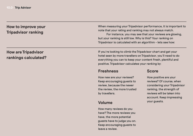# **How to improve your Tripadvisor ranking**

# **How are Tripadvisor rankings calculated?**

When measuring your Tripadvisor performance, it is important to note that your rating and ranking may not always match.

For instance, you may see that your reviews are glowing, but your ranking is still low. Why is this? Your ranking on Tripadvisor is calculated with an algorithm – lets see how:

If you're looking to climb the Tripadvisor chart and get your hotel seen by more travellers on Tripadvisor, you'll need to do everything you can to keep your content fresh, plentiful and positive. Tripadvisor calculates your ranking by:

### **Freshness**

How new are your reviews? Keep encouraging guests to review, because the newer the review, the more trusted by travellers.

# **Volume**

How many reviews do you have? The more reviews you have, the more potential guests have to judge you on. Keep encouraging guests to leave a review.

### **Score**

How positive are your reviews? Of course, when considering your Tripadvisor ranking, the strength of reviews will be taken into account. Keep impressing your guests.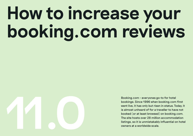# **How to increase your booking.com reviews**

![](_page_31_Picture_1.jpeg)

Booking.com – everyones go-to for hotel bookings. Since 1996 when booking.com first went live, it has only but risen in status. Today, it is almost unheard of for a traveller to have not booked (or at least browsed) on booking.com. The site hosts over 28 million accommodation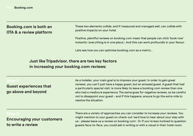# **Booking.com is both an OTA & a review platform**

These two elements collide, and if measured and managed well, can collide with positive impacts on your hotel.

Positive, plentiful reviews on booking.com mean that people can click 'book now' instantly (everything is in one place). And this can work profoundly in your favour.

Lets see how you can optimise booking.com as a metric…

# **Just like Tripadvisor, there are two key factors in increasing your booking.com reviews:**

**Guest experiences that go above and beyond**

As a hotelier, your main goal is to impress your guest. In order to gain great reviews, you can't just have a happy guest, but an amazed guest. A guest that had a particularly special visit, is more likely to leave a booking.com review than one who had a mediocre experience. The same goes for negative reviews, so be careful not to disappoint your guest – and if this happens, ensure to go the extra mile to resolve the situation.

**Encouraging your customers to write a review**

There are a variety of approaches you can consider to increase your reviews. You might mention to your guest on check-out 'we'd love to hear about your stay with us – please leave us a review on booking.com'. Or if you're less inclined to question guests face-to-face, you could ask in writing or with a visual in their hotel room.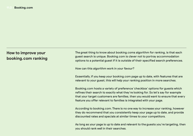# **How to improve your booking.com ranking**

The great thing to know about booking.coms algorithm for ranking, is that each guest search is unique. Booking.com is clever not to portray accommodation options to a potential guest if it is outside of their specified search preferences.

How can this algorithm work in your favour?

Essentially, if you keep your booking.com page up to date, with features that are relevant to your guest, this will help your ranking position in more searches.

Booking.com hosts a variety of preference 'checkbox' options for guests which refines their search to exactly what they're looking for. So let's say for example that your target customers are families, then you would want to ensure that every feature you offer relevant to families is integrated with your page.

According to booking.com. There is no one way to increase your ranking, however they do recommend that you consistently keep your page up to date, and provide discounted rates and specials at similar times to your competitors.

As long as your page is up to date and relevant to the guests you're targeting, then you should rank well in their searches.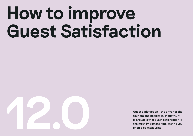# **How to improve Guest Satisfaction**

![](_page_34_Picture_1.jpeg)

Guest satisfaction – the driver of the tourism and hospitality industry. It is arguable that guest satisfaction is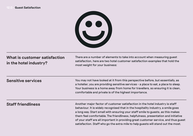#### **12.0 Guest Satisfaction**

![](_page_35_Picture_1.jpeg)

# **What is customer satisfaction in the hotel industry?**

There are a number of elements to take into account when measuring guest satisfaction, here are two hotel customer satisfaction examples that hold the most weight for your business:

| <b>Sensitive services</b> | You may not have looked at it from this perspective before, but essentially, as<br>a hotelier, you are providing sensitive services - a place to eat, a place to sleep.<br>Your business is a home away from home for travellers, so ensuring it is clean,<br>comfortable and private is of the highest importance.                                                                                                                                                                                                   |
|---------------------------|-----------------------------------------------------------------------------------------------------------------------------------------------------------------------------------------------------------------------------------------------------------------------------------------------------------------------------------------------------------------------------------------------------------------------------------------------------------------------------------------------------------------------|
| <b>Staff friendliness</b> | Another major factor of customer satisfaction in the hotel industry is staff<br>behaviour. It is widely recognised that in the hospitality industry, a smile goes<br>a long way. Start small with ensuring your staff smile to guests, as this makes<br>them feel comfortable. The friendliness, helpfulness, presentation and initiative<br>of your staff are all important in providing great customer service, and thus guest<br>satisfaction. Staff who go the extra mile to help guests will stand out the most. |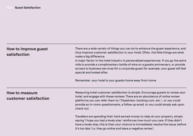| How to improve guest<br>satisfaction           | There are a wide variety of things you can do to enhance the guest experience, and<br>thus improve customer satisfaction in your hotel. Often, the little things are what                                                                                                                                                                              |
|------------------------------------------------|--------------------------------------------------------------------------------------------------------------------------------------------------------------------------------------------------------------------------------------------------------------------------------------------------------------------------------------------------------|
|                                                | make a big difference.<br>A major factor in the hotel industry is personalised experiences. If you go the extra<br>mile to provide a complimentary bottle of wine on a guests anniversary, or provide<br>access to business services for a corporate guest for example, your guest will feel<br>special and looked after.                              |
|                                                | Remember: your hotel is your guests home away from home                                                                                                                                                                                                                                                                                                |
| <b>How to measure</b><br>customer satisfaction | Measuring hotel customer satisfaction is simple. Encourage guests to review your<br>hotel, and engage with these reviews. There are an abundance of online review<br>platforms you can refer them to (Tripadvisor, booking.com, etc.), or you could<br>provide an in-room questionnaire, a follow up email, or you could simply ask upon<br>check out. |
|                                                | Travellers are spending their hard earned money to relax at your property, simply<br>saying 'I hope you had a lovely stay' reinforces how much you care. If they didn't<br>have a lovely stay, this is then your chance to immediately resolve the issue, before                                                                                       |

it's too late (i.e. they go online and leave a negative review).